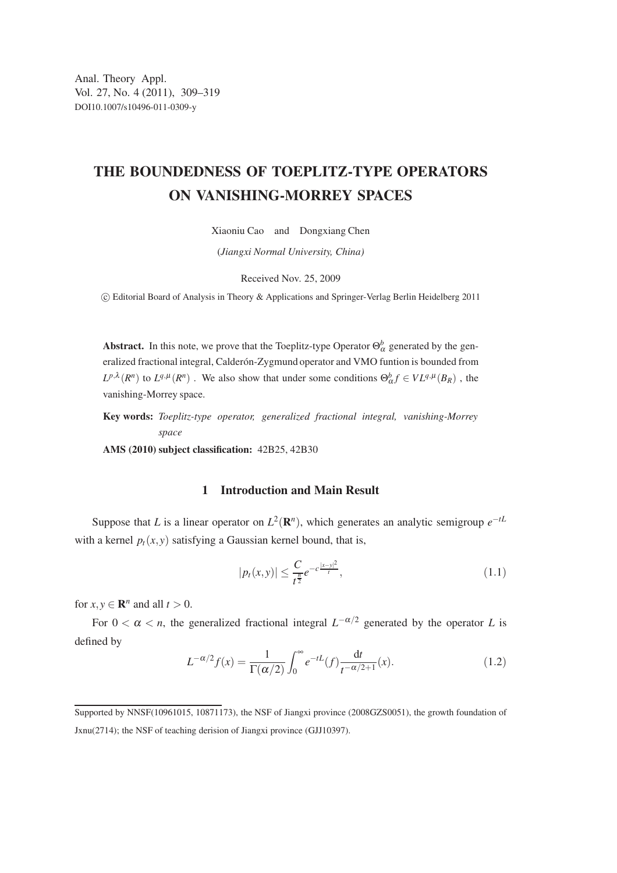## THE BOUNDEDNESS OF TOEPLITZ-TYPE OPERATORS ON VANISHING-MORREY SPACES

Xiaoniu Cao and Dongxiang Chen

(*Jiangxi Normal University, China)*

Received Nov. 25, 2009

c Editorial Board of Analysis in Theory & Applications and Springer-Verlag Berlin Heidelberg 2011

**Abstract.** In this note, we prove that the Toeplitz-type Operator  $\Theta_{\alpha}^{b}$  generated by the generalized fractional integral, Calderón-Zygmund operator and VMO funtion is bounded from  $L^{p,\lambda}(R^n)$  to  $L^{q,\mu}(R^n)$ . We also show that under some conditions  $\Theta_{\alpha}^b f \in VL^{q,\mu}(B_R)$ , the vanishing-Morrey space.

Key words: *Toeplitz-type operator, generalized fractional integral, vanishing-Morrey space*

AMS (2010) subject classification: 42B25, 42B30

## 1 Introduction and Main Result

Suppose that *L* is a linear operator on  $L^2(\mathbf{R}^n)$ , which generates an analytic semigroup  $e^{-tL}$ with a kernel  $p_t(x, y)$  satisfying a Gaussian kernel bound, that is,

$$
|p_t(x, y)| \le \frac{C}{t^{\frac{n}{2}}} e^{-c\frac{|x - y|^2}{t}}, \tag{1.1}
$$

for  $x, y \in \mathbb{R}^n$  and all  $t > 0$ .

For  $0 < \alpha < n$ , the generalized fractional integral  $L^{-\alpha/2}$  generated by the operator L is defined by

$$
L^{-\alpha/2}f(x) = \frac{1}{\Gamma(\alpha/2)} \int_0^\infty e^{-tL}(f) \frac{\mathrm{d}t}{t^{-\alpha/2+1}}(x). \tag{1.2}
$$

Supported by NNSF(10961015, 10871173), the NSF of Jiangxi province (2008GZS0051), the growth foundation of Jxnu(2714); the NSF of teaching derision of Jiangxi province (GJJ10397).